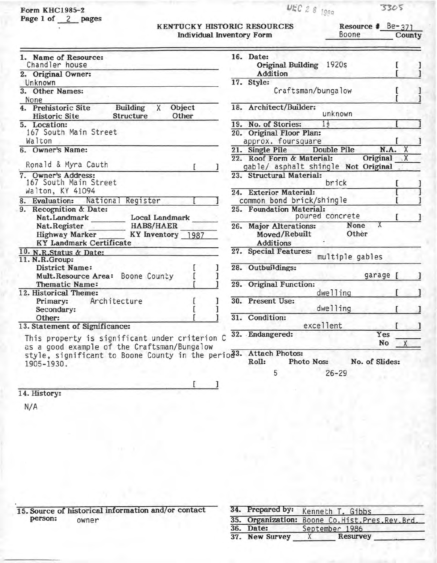**Form KHC1985-2 Page <sup>1</sup> of 2 i>ages** UEC 2 8 1992 **3305** 

**KENTUCKY fflSTORIC RESOURCES Individual Inventory Form**

**Resource #** <u>Be-371</u><br>
<u>Boone</u> County

| 1. Name of Resource:                                                                                                           | 16. Date:                                                                                 |
|--------------------------------------------------------------------------------------------------------------------------------|-------------------------------------------------------------------------------------------|
| Chandler house                                                                                                                 | Original Building 1920s                                                                   |
| 2. Original Owner:                                                                                                             | Addition                                                                                  |
| Unknown<br>3. Other Names:                                                                                                     | 17. Style:<br>Craftsman/bungalow                                                          |
| None                                                                                                                           |                                                                                           |
| 4. Prehistoric Site<br><b>Building</b><br>Object<br>X<br><b>Structure</b><br>Other<br><b>Historic Site</b>                     | 18. Architect/Builder:<br>unknown                                                         |
| 5. Location:                                                                                                                   | 19. No. of Stories:<br>$1\frac{1}{2}$                                                     |
| 167 South Main Street                                                                                                          | 20. Original Floor Plan:                                                                  |
| Walton                                                                                                                         | approx. foursquare                                                                        |
| 6. Owner's Name:                                                                                                               | Double Pile<br>21. Single Pile<br>N.A.                                                    |
| Ronald & Myra Cauth                                                                                                            | 22. Roof Form & Material:<br>Original<br>$\cdot$ X<br>gable/ asphalt shingle Not Original |
| 7. Owner's Address:<br>167 South Main Street                                                                                   | 23. Structural Material:<br>brick                                                         |
| Walton, KY 41094                                                                                                               | 24. Exterior Material:                                                                    |
| National<br>Register<br>8. Evaluation:                                                                                         | common bond brick/shingle                                                                 |
| 9. Recognition & Date:<br>Nat.Landmark<br><b>Local Landmark</b>                                                                | 25. Foundation Material:<br>poured concrete                                               |
| <b>HABS/HAER</b><br>Nat.Register<br><b>Highway Marker</b><br>KY Inventory 1987<br><b>KY Landmark Certificate</b>               | None<br>X<br>26. Major Alterations:<br>Moved/Rebuilt<br>Other<br><b>Additions</b>         |
| 10. N.R.Status & Date:                                                                                                         | 27. Special Features:<br>multiple gables                                                  |
| 11. N.R.Group:<br><b>District Name:</b>                                                                                        | 28. Outbuildings:                                                                         |
| Mult. Resource Area: Boone County<br>I                                                                                         | garage [                                                                                  |
| <b>Thematic Name:</b>                                                                                                          | 29. Original Function:                                                                    |
| 12. Historical Theme:                                                                                                          | dwelling<br>30. Present Use:                                                              |
| Architecture<br>Primary:                                                                                                       | dwelling                                                                                  |
| Secondary:<br>Other:                                                                                                           | 31. Condition:                                                                            |
| 13. Statement of Significance:                                                                                                 | excellent                                                                                 |
|                                                                                                                                | 32. Endangered:<br>Yes                                                                    |
| This property is significant under criterion C                                                                                 | No                                                                                        |
| as a good example of the Craftsman/Bungalow<br>style, significant to Boone County in the period3. Attach Photos:<br>1905-1930. | Roll:<br>Photo Nos:<br>No. of Slides:<br>5<br>$26 - 29$                                   |
| Ł                                                                                                                              |                                                                                           |

**14. History:**

**N/A**

| 15. Source of historical information and/or contact |       |  |  |
|-----------------------------------------------------|-------|--|--|
| person:                                             | owner |  |  |

| 34. Prepared by: |           | Kenneth T. Gibbs                              |
|------------------|-----------|-----------------------------------------------|
|                  |           | 35. Organization: Boone Co.Hist.Pres.Rev.Brd. |
| 36. Date:        |           | September 1986                                |
| 37. New Survey   | $\lambda$ | Resurvey                                      |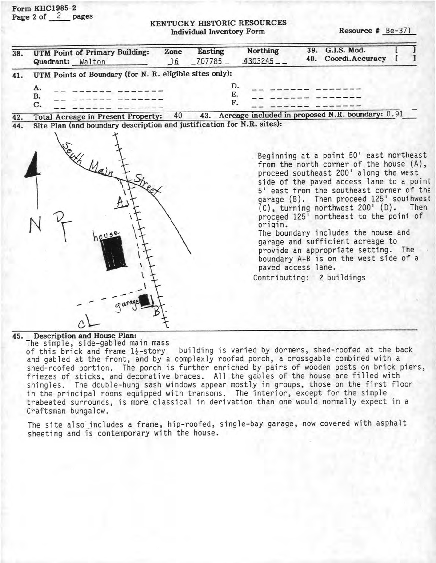**Form KHC1985-2 Page 2 of 2 pages**

#### **KENTUCKY HISTORIC RESOURCES Individual Inventory Form Resource # Be-371**

| 38.        | UTM Point of Primary Building:<br>Quadrant: Walton                                                                  | Zone<br>J6 | <b>Easting</b><br>_707785 _ | <b>Northing</b><br>4303245 | 39. G.I.S. Mod.<br>40. Coordi.Accuracy                                                                                                                                                                                                                                                                                                                                                                                                                                            |      |
|------------|---------------------------------------------------------------------------------------------------------------------|------------|-----------------------------|----------------------------|-----------------------------------------------------------------------------------------------------------------------------------------------------------------------------------------------------------------------------------------------------------------------------------------------------------------------------------------------------------------------------------------------------------------------------------------------------------------------------------|------|
| 41.        | UTM Points of Boundary (for N. R. eligible sites only):<br>А.<br><b>B.</b><br>C.                                    |            |                             | D.<br>E.<br>F.             |                                                                                                                                                                                                                                                                                                                                                                                                                                                                                   |      |
| 42.<br>44. | <b>Total Acreage in Present Property:</b><br>Site Plan (and boundary description and justification for N.R. sites): | 40         | 43.                         | origin.                    | Acreage included in proposed N.R. boundary: 0.91<br>Beginning at a point 50' east northeast<br>from the north corner of the house (A),<br>proceed southeast 200' along the west<br>side of the paved access lane to a point<br>5' east from the southeast corner of the<br>garage (B). Then proceed 125' southwest<br>$(C)$ , turning northwest 200' $(D)$ .<br>proceed 125' northeast to the point of<br>The boundary includes the house and<br>garage and sufficient acreage to | Then |
|            |                                                                                                                     |            |                             | paved access lane.         | provide an appropriate setting. The<br>boundary A-B is on the west side of a<br>Contributing: 2 buildings                                                                                                                                                                                                                                                                                                                                                                         |      |

### 45. Description and House Plan.

The simple, side-gabled main mass<br>of this brick and frame 11 story of this brick and frame 1½-story building is varied by dormers, shed-roofed at the back<br>and sabled at the frant, and by a semployly reafed perch. a crosscable combined with a and gabled at the front, and by a complexly roofed porch, a crossgable combined with a<br>shed reafed portion...The porch is further engighed by pairs of wooden posts on brick. shed-roofed portion. The porch is further enriched by pairs of wooden posts on brick piers, friezes of sticks, and decorative braces. All the gables of the house are filled with shingles. The double-hung sash windows appear mostly in groups, those on the first floor in the principal rooms equipped with transoms. The interior, except for the simple trabeated surrounds, is more classical in derivation than one would normally expect in <sup>a</sup> Craftsman bungalow.

The site also includes <sup>a</sup> frame, hip-roofed, single-bay garage, now covered with asphalt sheeting and is contemporary with the house.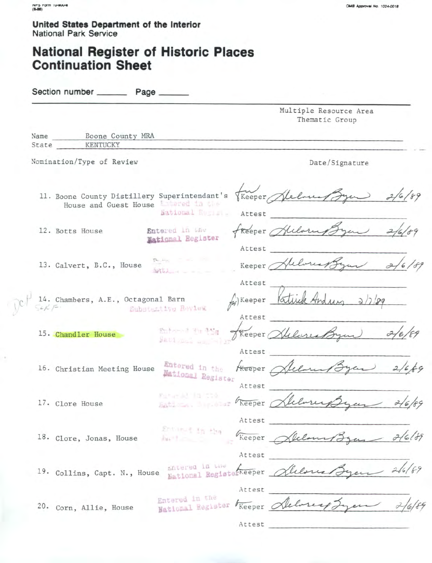

 $\mathbb{R}$ 

×.

OMB Approval No. 1024-0018

United States Department of the Interior<br>National Park Service

## **National Register of Historic Places<br>Continuation Sheet**

|                                                                                      |                                           |                                                          | Multiple Resource Area<br>Thematic Group |
|--------------------------------------------------------------------------------------|-------------------------------------------|----------------------------------------------------------|------------------------------------------|
| Name Boone County MRA                                                                |                                           |                                                          |                                          |
| State KENTUCKY                                                                       |                                           |                                                          |                                          |
| Nomination/Type of Review                                                            |                                           |                                                          | Date/Signature                           |
| 11. Boone County Distillery Superintendant's<br>House and Guest House Entered in the | Mational Rugisla                          | FREEPER Stelvus 2/6/89<br>Attest                         |                                          |
| 12. Botts House                                                                      | Entered in the<br>National Register       | freeper Helony Byan 2/6/89<br>Attest                     |                                          |
| 13. Calvert, B.C., House                                                             | Period in the control<br>$ARGL-1 = -1 -$  | Keeper Helvnest Sym 2/6/89                               |                                          |
| 14. Chambers, A.E., Octagonal Barn<br>$Sek/F$ Substantive Review                     |                                           | Attest<br>for Keeper Patrick Andrews 2/7/89              |                                          |
| 15. Chandler House                                                                   | Javi and and S                            | Attest<br>Theorem Preeper Alelanes Byan 2/6/89<br>Attest |                                          |
| 16. Christian Meeting House                                                          | Entered in the<br>Mational Register       | Hereper Aleland 3yan 2/6/89<br>Attest                    |                                          |
| 17. Clore House                                                                      | Kitschill (1975)                          | TREEPER Leburne 24 and 2/6/89                            |                                          |
| 18. Clore, Jonas, House                                                              | Entimate in the                           | Attest<br>Reeper Alclands                                | 7/6/59                                   |
| 19. Collins, Capt. N., House                                                         | mutered in the<br>National RegisterReeper | Attest                                                   | $-266/69$                                |
| 20. Corn, Allie, House                                                               | Entered in the                            | Attest<br>National Register Reeper Alebreas              | $\sim$ 2/6/89                            |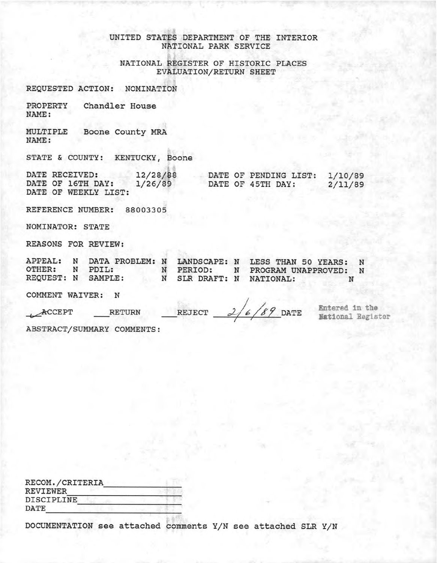#### UNITED STATES DEPARTMENT OF THE INTERIOR NATIONAL PARK SERVICE

NATIONAL REGISTER OF HISTORIC PLACES evAluation/return sheet

REQUESTED ACTION: NOMINATION

PROPERTY Chandler House PROPERTY NAME:

MULLIPLE<br>MAME. NAME: Boone County MRA

STATE & COUNTY: KENTUCKY, Boone

**DATE RECEIVED:** 12/28/88 DATE OF 16TH DAY: 1/26/89 DATE OF WEEKLY LIST: DATE OF PENDING LIST:<br>DATE OF 15TH DAV: DATE OF 45TH DAY: 1/10/89 2/11/89

REFERENCE NUMBER: 88003305

NOMINATOR: STATE

REASONS FOR REVIEW:

|                |                    |                          | APPEAL: N DATA PROBLEM: N LANDSCAPE: N LESS THAN 50 YEARS: N |   |  |
|----------------|--------------------|--------------------------|--------------------------------------------------------------|---|--|
| OTHER: N PDIL: |                    |                          | N PERIOD: N PROGRAM UNAPPROVED: N                            |   |  |
|                | REOUEST: N SAMPLE: | N SLR DRAFT: N NATIONAL: |                                                              | N |  |

COMMENT WAIVER: N

| ACCEPT | RETURN |  | REJECT $2/6/89$ DATE Entered in the | National Regis |
|--------|--------|--|-------------------------------------|----------------|
|--------|--------|--|-------------------------------------|----------------|

Hatlonal Beglster

ABSTRACT/SUMMARY COMMENTS:

| RECOM./CRITERIA   |  |
|-------------------|--|
| <b>REVIEWER</b>   |  |
| <b>DISCIPLINE</b> |  |
| DATE              |  |
|                   |  |

DOCUMENTATION see attached comments Y/N see attached SLR Y/N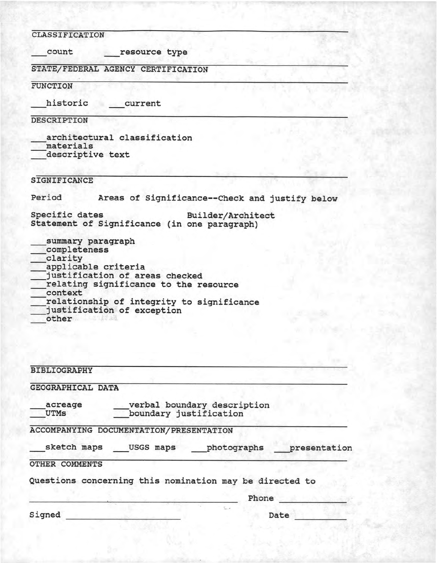#### **CLASSIFICATION**

resource type count

STATE/FEDERAL AGENCY CERTIFICATION

**FUNCTION** 

historic current

**DESCRIPTION** 

architectural classification materials descriptive text

#### SIGNIFICANCE

Areas of Significance--Check and justify below Period

Specific dates Builder/Architect Statement of Significance (in one paragraph)

| summary paragraph                         |
|-------------------------------------------|
| completeness                              |
| clarity                                   |
| applicable criteria                       |
| justification of areas checked            |
| relating significance to the resource     |
| context                                   |
| relationship of integrity to significance |
| justification of exception                |
| athar                                     |

| <b>BIBLIOGRAPHY</b> |                                                      |                                                                  |              |
|---------------------|------------------------------------------------------|------------------------------------------------------------------|--------------|
| GEOGRAPHICAL DATA   |                                                      |                                                                  |              |
| acreage<br>UTMs     | boundary justification                               | verbal boundary description                                      |              |
| sketch maps         | ACCOMPANYING DOCUMENTATION/PRESENTATION<br>USGS maps | photographs                                                      | presentation |
| OTHER COMMENTS      |                                                      |                                                                  |              |
|                     |                                                      | Questions concerning this nomination may be directed to<br>Phone |              |
| Signed              |                                                      |                                                                  | Date         |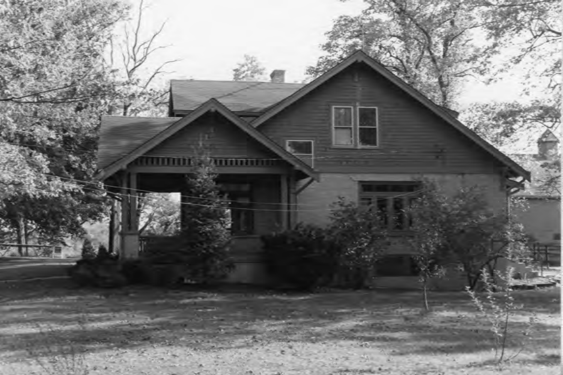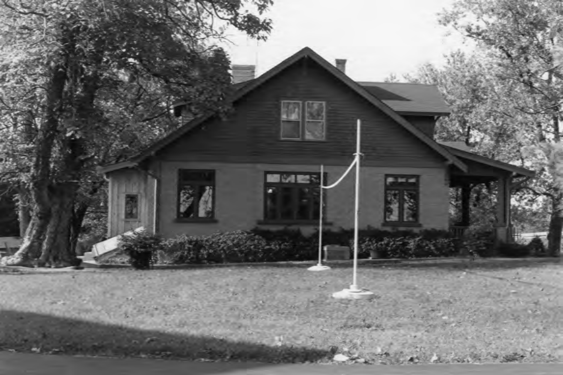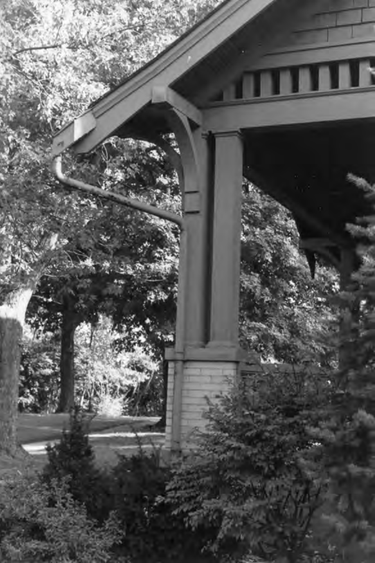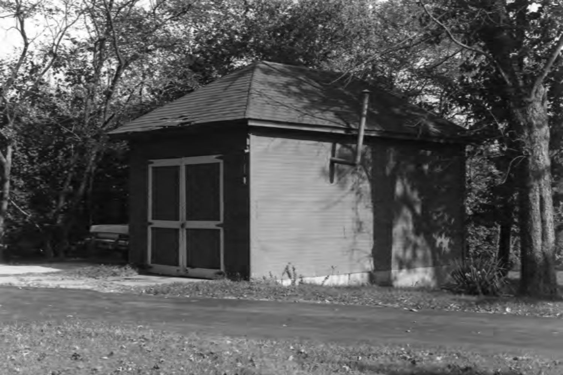